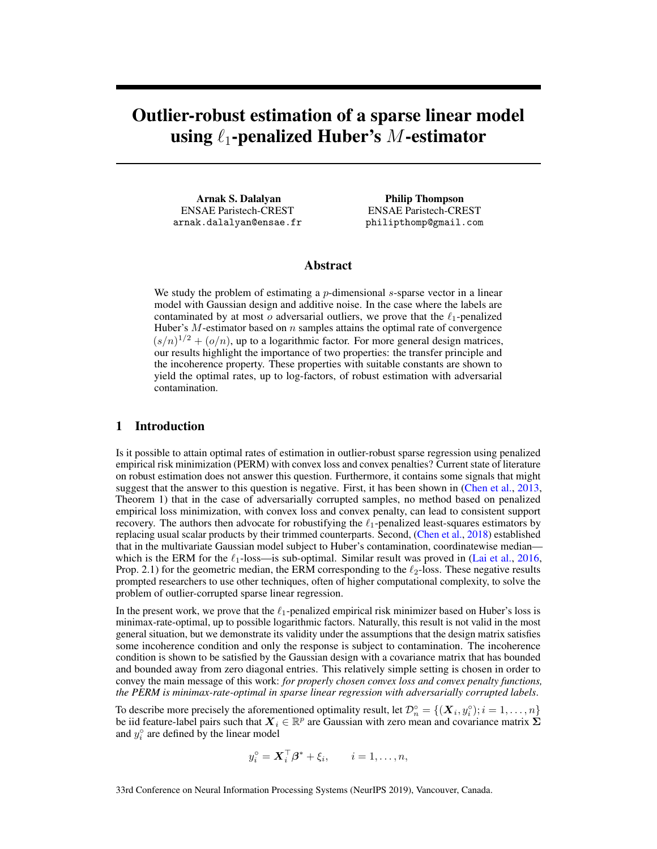# Outlier-robust estimation of a sparse linear model using  $\ell_1$ -penalized Huber's M-estimator

Arnak S. Dalalyan ENSAE Paristech-CREST arnak.dalalyan@ensae.fr

Philip Thompson ENSAE Paristech-CREST philipthomp@gmail.com

#### Abstract

We study the problem of estimating a  $p$ -dimensional  $s$ -sparse vector in a linear model with Gaussian design and additive noise. In the case where the labels are contaminated by at most o adversarial outliers, we prove that the  $\ell_1$ -penalized Huber's  $M$ -estimator based on  $n$  samples attains the optimal rate of convergence  $(s/n)^{1/2} + (o/n)$ , up to a logarithmic factor. For more general design matrices, our results highlight the importance of two properties: the transfer principle and the incoherence property. These properties with suitable constants are shown to yield the optimal rates, up to log-factors, of robust estimation with adversarial contamination.

## 1 Introduction

Is it possible to attain optimal rates of estimation in outlier-robust sparse regression using penalized empirical risk minimization (PERM) with convex loss and convex penalties? Current state of literature on robust estimation does not answer this question. Furthermore, it contains some signals that might suggest that the answer to this question is negative. First, it has been shown in [\(Chen et al.,](#page-8-0) [2013,](#page-8-0) Theorem 1) that in the case of adversarially corrupted samples, no method based on penalized empirical loss minimization, with convex loss and convex penalty, can lead to consistent support recovery. The authors then advocate for robustifying the  $\ell_1$ -penalized least-squares estimators by replacing usual scalar products by their trimmed counterparts. Second, [\(Chen et al.,](#page-8-1) [2018\)](#page-8-1) established that in the multivariate Gaussian model subject to Huber's contamination, coordinatewise median which is the ERM for the  $\ell_1$ -loss—is sub-optimal. Similar result was proved in [\(Lai et al.,](#page-9-0) [2016,](#page-9-0) Prop. 2.1) for the geometric median, the ERM corresponding to the  $\ell_2$ -loss. These negative results prompted researchers to use other techniques, often of higher computational complexity, to solve the problem of outlier-corrupted sparse linear regression.

In the present work, we prove that the  $\ell_1$ -penalized empirical risk minimizer based on Huber's loss is minimax-rate-optimal, up to possible logarithmic factors. Naturally, this result is not valid in the most general situation, but we demonstrate its validity under the assumptions that the design matrix satisfies some incoherence condition and only the response is subject to contamination. The incoherence condition is shown to be satisfied by the Gaussian design with a covariance matrix that has bounded and bounded away from zero diagonal entries. This relatively simple setting is chosen in order to convey the main message of this work: *for properly chosen convex loss and convex penalty functions, the PERM is minimax-rate-optimal in sparse linear regression with adversarially corrupted labels*.

To describe more precisely the aforementioned optimality result, let  $\mathcal{D}_n^{\circ} = \{(\boldsymbol{X}_i, y_i^{\circ}); i = 1, \dots, n\}$ be iid feature-label pairs such that  $X_i \in \mathbb{R}^p$  are Gaussian with zero mean and covariance matrix  $\Sigma$ and  $y_i^{\circ}$  are defined by the linear model

$$
y_i^\circ = \mathbf{X}_i^\top \boldsymbol{\beta}^* + \xi_i, \qquad i = 1, \dots, n,
$$

33rd Conference on Neural Information Processing Systems (NeurIPS 2019), Vancouver, Canada.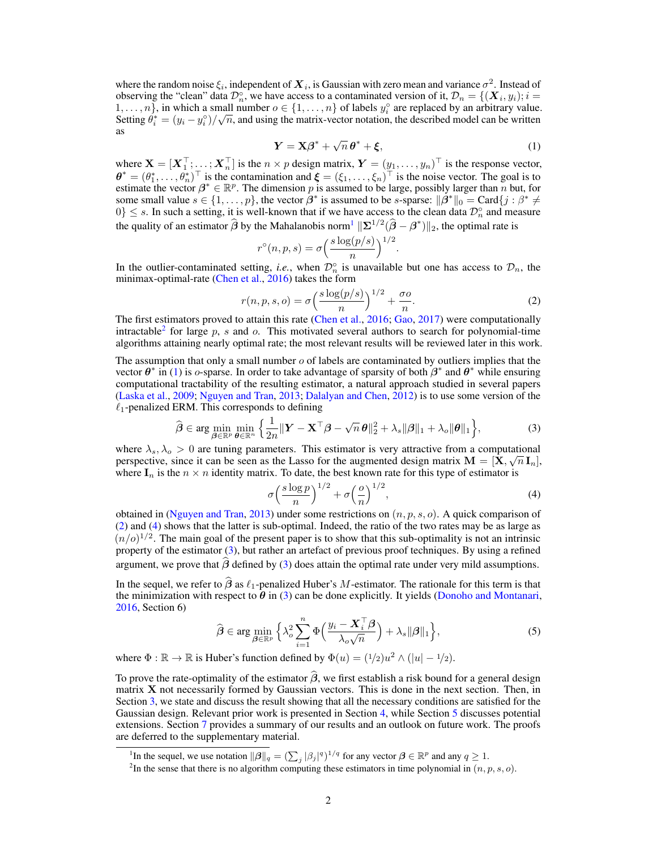where the random noise  $\xi_i$ , independent of  $\bm{X}_i$ , is Gaussian with zero mean and variance  $\sigma^2$ . Instead of observing the "clean" data  $\mathcal{D}_n^{\circ}$ , we have access to a contaminated version of it,  $\mathcal{D}_n = \{(\boldsymbol{X}_i, y_i); i = n\}$ 1, ...,  $n\}$ , in which a small number  $o \in \{1, \ldots, n\}$  of labels  $y_i^{\circ}$  are replaced by an arbitrary value. Setting  $\theta_i^* = (y_i - y_i^{\circ})/\sqrt{n}$ , and using the matrix-vector notation, the described model can be written as √

<span id="page-1-2"></span>
$$
Y = X\beta^* + \sqrt{n}\,\theta^* + \xi,\tag{1}
$$

where  $\mathbf{X} = [\boldsymbol{X}_1^\top; \dots; \boldsymbol{X}_n^\top]$  is the  $n \times p$  design matrix,  $\boldsymbol{Y} = (y_1, \dots, y_n)^\top$  is the response vector,  $\boldsymbol{\theta}^* = (\theta_1^*, \ldots, \theta_n^*)^\top$  is the contamination and  $\boldsymbol{\xi} = (\xi_1, \ldots, \xi_n)^\top$  is the noise vector. The goal is to estimate the vector  $\beta^* \in \mathbb{R}^p$ . The dimension p is assumed to be large, possibly larger than n but, for some small value  $s \in \{1, \ldots, p\}$ , the vector  $\beta^*$  is assumed to be s-sparse:  $\|\beta^*\|_0 = \text{Card}\{j : \beta^* \neq 0\}$  $0\}$   $\leq$  s. In such a setting, it is well-known that if we have access to the clean data  $\mathcal{D}_n^{\circ}$  and measure the quality of an estimator  $\hat{\beta}$  by the Mahalanobis norm<sup>[1](#page-1-0)</sup>  $\|\Sigma^{1/2}(\hat{\beta} - \beta^*)\|_2$ , the optimal rate is

<span id="page-1-3"></span>
$$
r^{\circ}(n, p, s) = \sigma \left(\frac{s \log(p/s)}{n}\right)^{1/2}.
$$

In the outlier-contaminated setting, *i.e.*, when  $\mathcal{D}_n^{\circ}$  is unavailable but one has access to  $\mathcal{D}_n$ , the minimax-optimal-rate [\(Chen et al.,](#page-8-2) [2016\)](#page-8-2) takes the form

$$
r(n, p, s, o) = \sigma \left(\frac{s \log(p/s)}{n}\right)^{1/2} + \frac{\sigma o}{n}.
$$
 (2)

The first estimators proved to attain this rate [\(Chen et al.,](#page-8-2) [2016;](#page-8-2) [Gao,](#page-9-1) [2017\)](#page-9-1) were computationally intractable<sup>[2](#page-1-1)</sup> for large  $p$ ,  $s$  and  $o$ . This motivated several authors to search for polynomial-time algorithms attaining nearly optimal rate; the most relevant results will be reviewed later in this work.

The assumption that only a small number  $\sigma$  of labels are contaminated by outliers implies that the vector  $\theta^*$  in [\(1\)](#page-1-2) is o-sparse. In order to take advantage of sparsity of both  $\beta^*$  and  $\theta^*$  while ensuring computational tractability of the resulting estimator, a natural approach studied in several papers [\(Laska et al.,](#page-9-2) [2009;](#page-9-2) [Nguyen and Tran,](#page-10-0) [2013;](#page-10-0) [Dalalyan and Chen,](#page-9-3) [2012\)](#page-9-3) is to use some version of the  $\ell_1$ -penalized ERM. This corresponds to defining

$$
\widehat{\boldsymbol{\beta}} \in \arg\min_{\boldsymbol{\beta} \in \mathbb{R}^p} \min_{\boldsymbol{\theta} \in \mathbb{R}^n} \left\{ \frac{1}{2n} \|\mathbf{Y} - \mathbf{X}^\top \boldsymbol{\beta} - \sqrt{n} \,\boldsymbol{\theta}\|_2^2 + \lambda_s \|\boldsymbol{\beta}\|_1 + \lambda_o \|\boldsymbol{\theta}\|_1 \right\},\tag{3}
$$

where  $\lambda_s, \lambda_o > 0$  are tuning parameters. This estimator is very attractive from a computational perspective, since it can be seen as the Lasso for the augmented design matrix  $\mathbf{M} = [\mathbf{X}, \sqrt{n}\,\mathbf{I}_n],$ where  $I_n$  is the  $n \times n$  identity matrix. To date, the best known rate for this type of estimator is

<span id="page-1-6"></span><span id="page-1-5"></span><span id="page-1-4"></span>
$$
\sigma \left(\frac{s\log p}{n}\right)^{1/2} + \sigma \left(\frac{o}{n}\right)^{1/2},\tag{4}
$$

obtained in [\(Nguyen and Tran,](#page-10-0) [2013\)](#page-10-0) under some restrictions on  $(n, p, s, o)$ . A quick comparison of [\(2\)](#page-1-3) and [\(4\)](#page-1-4) shows that the latter is sub-optimal. Indeed, the ratio of the two rates may be as large as  $(n/o)^{1/2}$ . The main goal of the present paper is to show that this sub-optimality is not an intrinsic property of the estimator [\(3\)](#page-1-5), but rather an artefact of previous proof techniques. By using a refined argument, we prove that  $\hat{\beta}$  defined by [\(3\)](#page-1-5) does attain the optimal rate under very mild assumptions.

In the sequel, we refer to  $\hat{\beta}$  as  $\ell_1$ -penalized Huber's M-estimator. The rationale for this term is that the minimization with respect to  $\hat{\theta}$  in [\(3\)](#page-1-5) can be done explicitly. It yields [\(Donoho and Montanari,](#page-9-4) [2016,](#page-9-4) Section 6)

$$
\widehat{\boldsymbol{\beta}} \in \arg\min_{\boldsymbol{\beta} \in \mathbb{R}^p} \left\{ \lambda_o^2 \sum_{i=1}^n \Phi\left(\frac{y_i - \boldsymbol{X}_i^\top \boldsymbol{\beta}}{\lambda_o \sqrt{n}}\right) + \lambda_s \|\boldsymbol{\beta}\|_1 \right\},\tag{5}
$$

where  $\Phi : \mathbb{R} \to \mathbb{R}$  is Huber's function defined by  $\Phi(u) = (1/2)u^2 \wedge (|u| - 1/2)$ .

To prove the rate-optimality of the estimator  $\hat{\beta}$ , we first establish a risk bound for a general design matrix X not necessarily formed by Gaussian vectors. This is done in the next section. Then, in Section [3,](#page-4-0) we state and discuss the result showing that all the necessary conditions are satisfied for the Gaussian design. Relevant prior work is presented in Section [4,](#page-5-0) while Section [5](#page-6-0) discusses potential extensions. Section [7](#page-7-0) provides a summary of our results and an outlook on future work. The proofs are deferred to the supplementary material.

<span id="page-1-0"></span><sup>&</sup>lt;sup>1</sup>In the sequel, we use notation  $\|\beta\|_q = \left(\sum_j |\beta_j|^q\right)^{1/q}$  for any vector  $\beta \in \mathbb{R}^p$  and any  $q \ge 1$ .

<span id="page-1-1"></span><sup>&</sup>lt;sup>2</sup>In the sense that there is no algorithm computing these estimators in time polynomial in  $(n, p, s, o)$ .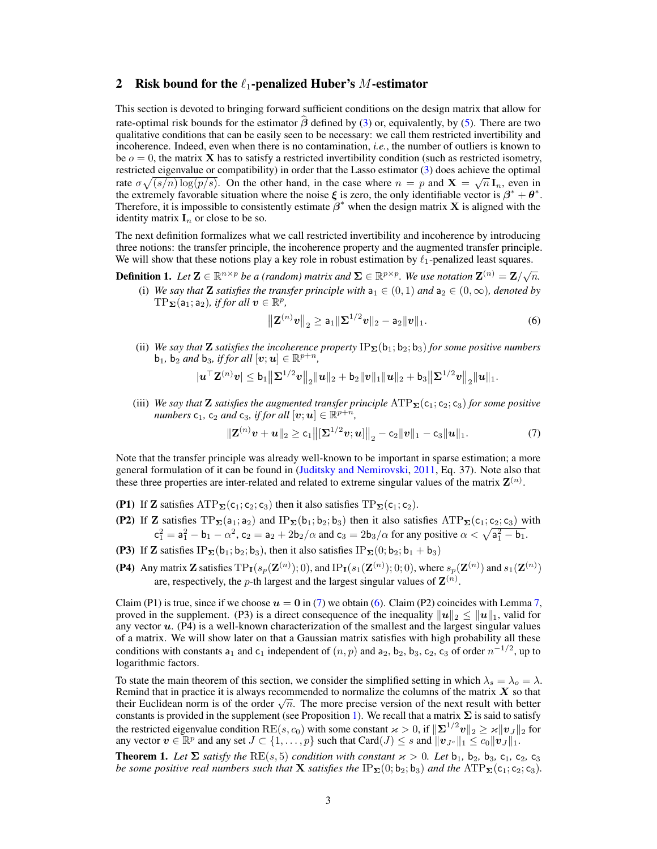### 2 Risk bound for the  $\ell_1$ -penalized Huber's M-estimator

This section is devoted to bringing forward sufficient conditions on the design matrix that allow for rate-optimal risk bounds for the estimator  $\hat{\beta}$  defined by [\(3\)](#page-1-5) or, equivalently, by [\(5\)](#page-1-6). There are two qualitative conditions that can be easily seen to be necessary: we call them restricted invertibility and incoherence. Indeed, even when there is no contamination, *i.e.*, the number of outliers is known to be  $o = 0$ , the matrix **X** has to satisfy a restricted invertibility condition (such as restricted isometry, restricted eigenvalue or compatibility) in order that the Lasso estimator [\(3\)](#page-1-5) does achieve the optimal rate  $\sigma \sqrt{(s/n) \log(p/s)}$ . On the other hand, in the case where  $n = p$  and  $X = \sqrt{n} I_n$ , even in the extremely favorable situation where the noise  $\xi$  is zero, the only identifiable vector is  $\beta^* + \theta^*$ . Therefore, it is impossible to consistently estimate  $\beta^*$  when the design matrix **X** is aligned with the identity matrix  $I_n$  or close to be so.

The next definition formalizes what we call restricted invertibility and incoherence by introducing three notions: the transfer principle, the incoherence property and the augmented transfer principle. We will show that these notions play a key role in robust estimation by  $\ell_1$ -penalized least squares.

**Definition 1.** Let  $\mathbf{Z} \in \mathbb{R}^{n \times p}$  be a (random) matrix and  $\mathbf{\Sigma} \in \mathbb{R}^{p \times p}$ . We use notation  $\mathbf{Z}^{(n)} = \mathbf{Z}/\sqrt{n}$ .

(i) *We say that* **Z** *satisfies the transfer principle with*  $a_1 \in (0, 1)$  *and*  $a_2 \in (0, \infty)$ *, denoted by*  $\mathrm{TP}_{\Sigma}(\mathsf{a}_1; \mathsf{a}_2)$ *, if for all*  $v \in \mathbb{R}^p$ *,* 

<span id="page-2-1"></span><span id="page-2-0"></span>
$$
\|\mathbf{Z}^{(n)}\mathbf{v}\|_2 \ge \mathsf{a}_1 \|\mathbf{\Sigma}^{1/2}\mathbf{v}\|_2 - \mathsf{a}_2 \|\mathbf{v}\|_1. \tag{6}
$$

(ii) *We say that* **Z** *satisfies the incoherence property*  $IP_{\Sigma}(\mathbf{b}_1; \mathbf{b}_2; \mathbf{b}_3)$  *for some positive numbers*  $\mathbf{b}_1$ ,  $\mathbf{b}_2$  *and*  $\mathbf{b}_3$ *, if for all*  $[\boldsymbol{v}; \boldsymbol{u}] \in \mathbb{R}^{p+n}$ *,* 

$$
|\mathbf{u}^\top \mathbf{Z}^{(n)} \mathbf{v}| \leq \mathbf{b}_1 \big\| \mathbf{\Sigma}^{1/2} \mathbf{v} \big\|_2 \|\mathbf{u}\|_2 + \mathbf{b}_2 \|\mathbf{v}\|_1 \|\mathbf{u}\|_2 + \mathbf{b}_3 \big\| \mathbf{\Sigma}^{1/2} \mathbf{v} \big\|_2 \|\mathbf{u}\|_1.
$$

(iii) *We say that* **Z** *satisfies the augmented transfer principle*  $ATP_{\Sigma}(c_1;c_2;c_3)$  *for some positive*  $numbers$   $c_1$ ,  $c_2$  *and*  $c_3$ , *if for all*  $[v; u] \in \mathbb{R}^{p+n}$ ,

$$
\|\mathbf{Z}^{(n)}\mathbf{v}+\mathbf{u}\|_2 \geq c_1\big\|\big[\mathbf{\Sigma}^{1/2}\mathbf{v};\mathbf{u}\big]\big\|_2 - c_2\|\mathbf{v}\|_1 - c_3\|\mathbf{u}\|_1.
$$
 (7)

Note that the transfer principle was already well-known to be important in sparse estimation; a more general formulation of it can be found in [\(Juditsky and Nemirovski,](#page-9-5) [2011,](#page-9-5) Eq. 37). Note also that these three properties are inter-related and related to extreme singular values of the matrix  $\mathbf{Z}^{(n)}$ .

- (P1) If Z satisfies  $ATP_{\Sigma}(c_1; c_2; c_3)$  then it also satisfies  $TP_{\Sigma}(c_1; c_2)$ .
- (P2) If Z satisfies  $TP_{\Sigma}(a_1; a_2)$  and  $IP_{\Sigma}(b_1; b_2; b_3)$  then it also satisfies  $ATP_{\Sigma}(c_1; c_2; c_3)$  with  $c_1^2 = a_1^2 - b_1 - \alpha^2$ ,  $c_2 = a_2 + 2b_2/\alpha$  and  $c_3 = 2b_3/\alpha$  for any positive  $\alpha < \sqrt{a_1^2 - b_1}$ .
- (P3) If Z satisfies IP<sub>Σ</sub>(b<sub>1</sub>; b<sub>2</sub>; b<sub>3</sub>), then it also satisfies IP<sub>Σ</sub>(0; b<sub>2</sub>; b<sub>1</sub> + b<sub>3</sub>)
- (P4) Any matrix Z satisfies  $TP_I(s_p(\mathbf{Z}^{(n)}); 0)$ , and  $IP_I(s_1(\mathbf{Z}^{(n)}); 0; 0)$ , where  $s_p(\mathbf{Z}^{(n)})$  and  $s_1(\mathbf{Z}^{(n)})$ are, respectively, the *p*-th largest and the largest singular values of  $\mathbf{Z}^{(n)}$ .

Claim (P1) is true, since if we choose  $u = 0$  in [\(7\)](#page-2-0) we obtain [\(6\)](#page-2-1). Claim (P2) coincides with Lemma 7, proved in the supplement. (P3) is a direct consequence of the inequality  $||u||_2 \le ||u||_1$ , valid for any vector  $u$ . (P4) is a well-known characterization of the smallest and the largest singular values of a matrix. We will show later on that a Gaussian matrix satisfies with high probability all these conditions with constants  $a_1$  and  $c_1$  independent of  $(n, p)$  and  $a_2$ ,  $b_2$ ,  $b_3$ ,  $c_2$ ,  $c_3$  of order  $n^{-1/2}$ , up to logarithmic factors.

To state the main theorem of this section, we consider the simplified setting in which  $\lambda_s = \lambda_o = \lambda$ . Remind that in practice it is always recommended to normalize the columns of the matrix  $X$  so that Remind that in practice it is always recommended to normalize the columns of the matrix  $\bm{X}$  so that their Euclidean norm is of the order  $\sqrt{n}$ . The more precise version of the next result with better constants is provided in the supplement (see Proposition 1). We recall that a matrix  $\Sigma$  is said to satisfy the restricted eigenvalue condition  $RE(s, c_0)$  with some constant  $\varkappa > 0$ , if  $\|\Sigma^{1/2}v\|_2 \geq \varkappa \|v_J\|_2$  for any vector  $\mathbf{v} \in \mathbb{R}^p$  and any set  $J \subset \{1, \ldots, p\}$  such that  $\text{Card}(J) \leq s$  and  $\|\mathbf{v}_{Jc}\|_1 \leq \overline{c_0}\|\mathbf{v}_{J}\|_1$ .

<span id="page-2-2"></span>**Theorem 1.** Let  $\Sigma$  *satisfy the* RE(s, 5) *condition with constant*  $\varkappa > 0$ . Let  $b_1$ ,  $b_2$ ,  $b_3$ ,  $c_1$ ,  $c_2$ ,  $c_3$ *be some positive real numbers such that* **X** *satisfies the*  $IP_{\Sigma}(0;b_2;b_3)$  *and the*  $ATP_{\Sigma}(c_1;c_2;c_3)$ *.*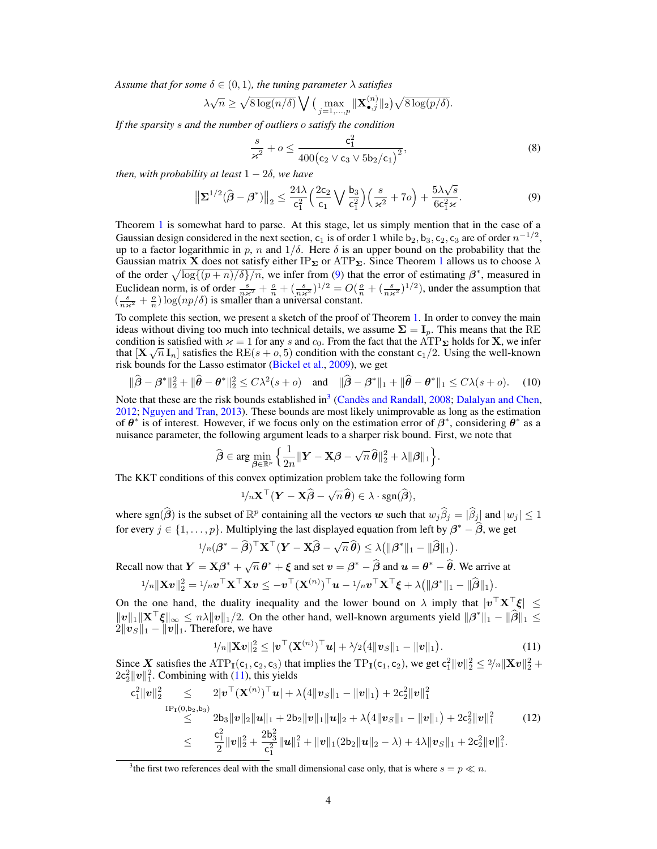*Assume that for some*  $\delta \in (0, 1)$ *, the tuning parameter*  $\lambda$  *satisfies* 

$$
\lambda \sqrt{n} \ge \sqrt{8 \log(n/\delta)} \bigvee \big(\max_{j=1,\dots,p} \|\mathbf{X}_{\bullet,j}^{(n)}\|_2\big) \sqrt{8 \log(p/\delta)}.
$$

*If the sparsity* s *and the number of outliers* o *satisfy the condition*

<span id="page-3-4"></span><span id="page-3-0"></span>
$$
\frac{s}{\varkappa^2} + o \le \frac{c_1^2}{400 (c_2 \vee c_3 \vee 5b_2/c_1)^2},\tag{8}
$$

*then, with probability at least*  $1 - 2\delta$ *, we have* 

$$
\|\Sigma^{1/2}(\hat{\boldsymbol{\beta}} - \boldsymbol{\beta}^*)\|_2 \le \frac{24\lambda}{c_1^2} \Big(\frac{2c_2}{c_1} \bigvee \frac{b_3}{c_1^2}\Big) \Big(\frac{s}{\varkappa^2} + 7o\Big) + \frac{5\lambda\sqrt{s}}{6c_1^2\varkappa}.
$$
 (9)

Theorem [1](#page-2-2) is somewhat hard to parse. At this stage, let us simply mention that in the case of a Gaussian design considered in the next section,  $c_1$  is of order 1 while  $b_2, b_3, c_2, c_3$  are of order  $n^{-1/2}$ , up to a factor logarithmic in p, n and  $1/\delta$ . Here  $\delta$  is an upper bound on the probability that the Gaussian matrix X does not satisfy either IP<sub>Σ</sub> or ATP<sub>Σ</sub>. Since Theorem [1](#page-2-2) allows us to choose  $\lambda$ of the order  $\sqrt{\log((p + n)/\delta)/n}$ , we infer from [\(9\)](#page-3-0) that the error of estimating  $\beta^*$ , measured in Euclidean norm, is of order  $\frac{s}{n\kappa^2} + \frac{o}{n} + (\frac{s}{n\kappa^2})^{1/2} = O(\frac{o}{n} + (\frac{s}{n\kappa^2})^{1/2})$ , under the assumption that  $\left(\frac{s}{n\kappa^2}+\frac{o}{n}\right) \log(np/\delta)$  is smaller than a universal constant.

To complete this section, we present a sketch of the proof of Theorem [1.](#page-2-2) In order to convey the main ideas without diving too much into technical details, we assume  $\Sigma = I_p$ . This means that the RE condition is satisfied with  $\varkappa = 1$  for any s and  $c_0$ . From the fact that the ATP<sub>Σ</sub> holds for **X**, we infer that  $[X\sqrt{n} I_n]$  satisfies the  $RE(s + 0.5)$  condition with the constant  $c_1/2$ . Using the well-known risk bounds for the Lasso estimator [\(Bickel et al.,](#page-8-3) [2009\)](#page-8-3), we get

$$
\|\widehat{\boldsymbol{\beta}} - \boldsymbol{\beta}^*\|_2^2 + \|\widehat{\boldsymbol{\theta}} - \boldsymbol{\theta}^*\|_2^2 \le C\lambda^2(s + o) \quad \text{and} \quad \|\widehat{\boldsymbol{\beta}} - \boldsymbol{\beta}^*\|_1 + \|\widehat{\boldsymbol{\theta}} - \boldsymbol{\theta}^*\|_1 \le C\lambda(s + o). \tag{10}
$$

Note that these are the risk bounds established in<sup>[3](#page-3-1)</sup> [\(Candès and Randall,](#page-8-4) [2008;](#page-8-4) [Dalalyan and Chen,](#page-9-3) [2012;](#page-9-3) [Nguyen and Tran,](#page-10-0) [2013\)](#page-10-0). These bounds are most likely unimprovable as long as the estimation of  $\theta^*$  is of interest. However, if we focus only on the estimation error of  $\beta^*$ , considering  $\theta^*$  as a nuisance parameter, the following argument leads to a sharper risk bound. First, we note that

$$
\widehat{\boldsymbol{\beta}} \in \arg \min_{\boldsymbol{\beta} \in \mathbb{R}^p} \Big\{ \frac{1}{2n} \|\boldsymbol{Y} - \mathbf{X}\boldsymbol{\beta} - \sqrt{n}\,\widehat{\boldsymbol{\theta}}\|^2_2 + \lambda \|\boldsymbol{\beta}\|_1 \Big\}.
$$

The KKT conditions of this convex optimization problem take the following form

<span id="page-3-3"></span>
$$
1/n\mathbf{X}^{\top}(\mathbf{Y}-\mathbf{X}\widehat{\boldsymbol{\beta}}-\sqrt{n}\,\widehat{\boldsymbol{\theta}})\in\lambda\cdot\mathrm{sgn}(\widehat{\boldsymbol{\beta}}),
$$

where sgn( $\hat{\beta}$ ) is the subset of  $\mathbb{R}^p$  containing all the vectors w such that  $w_j\hat{\beta}_j = |\hat{\beta}_j|$  and  $|w_j| \leq 1$ for every  $j \in \{1, \ldots, p\}$ . Multiplying the last displayed equation from left by  $\beta^* - \widehat{\beta}$ , we get

$$
1/n(\boldsymbol{\beta}^* - \widehat{\boldsymbol{\beta}})^{\top} \mathbf{X}^{\top} (\mathbf{Y} - \mathbf{X}\widehat{\boldsymbol{\beta}} - \sqrt{n}\,\widehat{\boldsymbol{\theta}}) \leq \lambda \big( \|\boldsymbol{\beta}^*\|_1 - \|\widehat{\boldsymbol{\beta}}\|_1 \big).
$$

Recall now that  $Y = X\beta^* + \sqrt{n}\theta^* + \xi$  and set  $v = \beta^* - \hat{\beta}$  and  $u = \theta^* - \hat{\theta}$ . We arrive at

$$
1/n \|\mathbf{X}\boldsymbol{v}\|_2^2 = 1/n\boldsymbol{v}^\top\mathbf{X}^\top\mathbf{X}\boldsymbol{v} \leq -\boldsymbol{v}^\top(\mathbf{X}^{(n)})^\top\boldsymbol{u} - 1/n\boldsymbol{v}^\top\mathbf{X}^\top\boldsymbol{\xi} + \lambda(\|\boldsymbol{\beta}^*\|_1 - \|\widehat{\boldsymbol{\beta}}\|_1).
$$

On the one hand, the duality inequality and the lower bound on  $\lambda$  imply that  $|v^{\top}X^{\top}\xi| \leq$  $||v||_1 ||\mathbf{X}^\top \boldsymbol{\xi}||_{\infty} \le n\lambda ||v||_1/2$ . On the other hand, well-known arguments yield  $||\boldsymbol{\beta}^*||_1 - ||\widehat{\boldsymbol{\beta}}||_1 \le 2||v_S||_1 - ||v||_1$ . Therefore, we have

<span id="page-3-5"></span><span id="page-3-2"></span>
$$
1/n \|\mathbf{X}\mathbf{v}\|_2^2 \le |\mathbf{v}^\top (\mathbf{X}^{(n)})^\top \mathbf{u}| + \lambda/2 \big( 4 \|\mathbf{v}_S\|_1 - \|\mathbf{v}\|_1 \big). \tag{11}
$$

Since X satisfies the ATP<sub>I</sub>(c<sub>1</sub>, c<sub>2</sub>, c<sub>3</sub>) that implies the TP<sub>I</sub>(c<sub>1</sub>, c<sub>2</sub>), we get  $c_1^2 ||v||_2^2 \leq \frac{2}{n} ||Xv||_2^2 +$  $2c_2^2 ||v||_1^2$ . Combining with [\(11\)](#page-3-2), this yields

$$
c_1^2 \|\mathbf{v}\|_2^2 \leq 2 |\mathbf{v}^\top (\mathbf{X}^{(n)})^\top \mathbf{u}| + \lambda (4 \|\mathbf{v}_S\|_1 - \|\mathbf{v}\|_1) + 2c_2^2 \|\mathbf{v}\|_1^2
$$
  
\n
$$
\leq 2b_3 \|\mathbf{v}\|_2 \|\mathbf{u}\|_1 + 2b_2 \|\mathbf{v}\|_1 \|\mathbf{u}\|_2 + \lambda (4 \|\mathbf{v}_S\|_1 - \|\mathbf{v}\|_1) + 2c_2^2 \|\mathbf{v}\|_1^2
$$
  
\n
$$
\leq \frac{c_1^2}{2} \|\mathbf{v}\|_2^2 + \frac{2b_3^2}{c_1^2} \|\mathbf{u}\|_1^2 + \|\mathbf{v}\|_1 (2b_2 \|\mathbf{u}\|_2 - \lambda) + 4\lambda \|\mathbf{v}_S\|_1 + 2c_2^2 \|\mathbf{v}\|_1^2.
$$
 (12)

<span id="page-3-1"></span><sup>&</sup>lt;sup>3</sup> the first two references deal with the small dimensional case only, that is where  $s = p \ll n$ .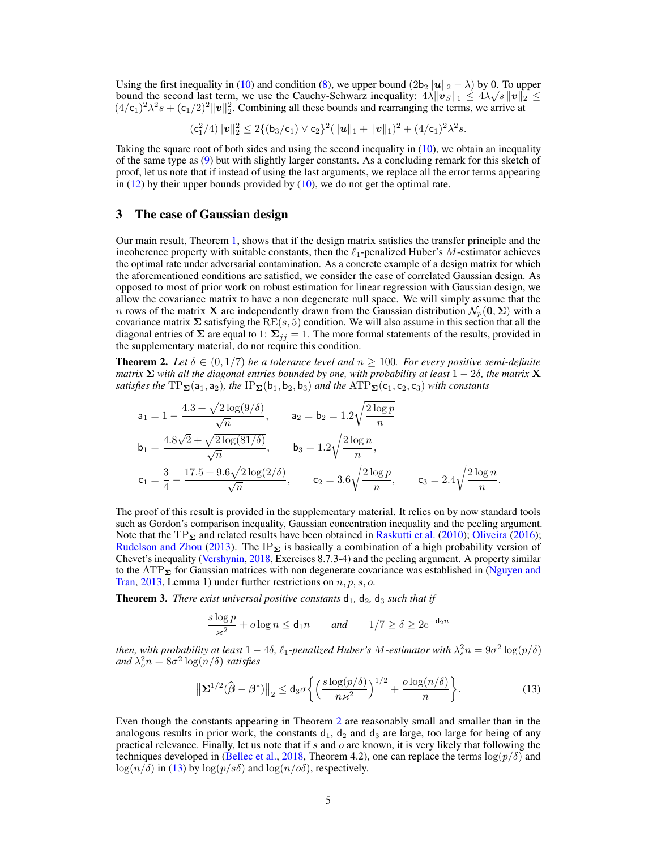Using the first inequality in [\(10\)](#page-3-3) and condition [\(8\)](#page-3-4), we upper bound  $(2b_2||u||_2 - \lambda)$  by 0. To upper bound the second last term, we use the Cauchy-Schwarz inequality:  $4\lambda \|v_S\|_1 \le 4\lambda\sqrt{s} \|v\|_2 \le$  $(4/c_1)^2 \lambda^2 s + (c_1/2)^2 ||v||_2^2$ . Combining all these bounds and rearranging the terms, we arrive at

$$
(c_1^2/4)\|\boldsymbol{v}\|_2^2 \leq 2\{(b_3/c_1) \vee c_2\}^2 (\|\boldsymbol{u}\|_1 + \|\boldsymbol{v}\|_1)^2 + (4/c_1)^2\lambda^2 s.
$$

Taking the square root of both sides and using the second inequality in [\(10\)](#page-3-3), we obtain an inequality of the same type as [\(9\)](#page-3-0) but with slightly larger constants. As a concluding remark for this sketch of proof, let us note that if instead of using the last arguments, we replace all the error terms appearing in  $(12)$  by their upper bounds provided by  $(10)$ , we do not get the optimal rate.

## <span id="page-4-0"></span>3 The case of Gaussian design

Our main result, Theorem [1,](#page-2-2) shows that if the design matrix satisfies the transfer principle and the incoherence property with suitable constants, then the  $\ell_1$ -penalized Huber's M-estimator achieves the optimal rate under adversarial contamination. As a concrete example of a design matrix for which the aforementioned conditions are satisfied, we consider the case of correlated Gaussian design. As opposed to most of prior work on robust estimation for linear regression with Gaussian design, we allow the covariance matrix to have a non degenerate null space. We will simply assume that the n rows of the matrix **X** are independently drawn from the Gaussian distribution  $\mathcal{N}_p(\mathbf{0}, \boldsymbol{\Sigma})$  with a covariance matrix  $\Sigma$  satisfying the RE(s, 5) condition. We will also assume in this section that all the diagonal entries of  $\Sigma$  are equal to 1:  $\Sigma_{jj} = 1$ . The more formal statements of the results, provided in the supplementary material, do not require this condition.

<span id="page-4-1"></span>**Theorem 2.** Let  $\delta \in (0,1/7)$  be a tolerance level and  $n \geq 100$ . For every positive semi-definite *matrix*  $\Sigma$  *with all the diagonal entries bounded by one, with probability at least*  $1 - 2\delta$ *, the matrix*  $X$ *satisfies the*  $TP_{\Sigma}(a_1, a_2)$ *, the*  $IP_{\Sigma}(b_1, b_2, b_3)$  *and the*  $ATP_{\Sigma}(c_1, c_2, c_3)$  *with constants* 

$$
a_1 = 1 - \frac{4.3 + \sqrt{2 \log(9/\delta)}}{\sqrt{n}}, \qquad a_2 = b_2 = 1.2\sqrt{\frac{2 \log p}{n}}
$$
  
\n
$$
b_1 = \frac{4.8\sqrt{2} + \sqrt{2 \log(81/\delta)}}{\sqrt{n}}, \qquad b_3 = 1.2\sqrt{\frac{2 \log n}{n}},
$$
  
\n
$$
c_1 = \frac{3}{4} - \frac{17.5 + 9.6\sqrt{2 \log(2/\delta)}}{\sqrt{n}}, \qquad c_2 = 3.6\sqrt{\frac{2 \log p}{n}}, \qquad c_3 = 2.4\sqrt{\frac{2 \log n}{n}}.
$$

The proof of this result is provided in the supplementary material. It relies on by now standard tools such as Gordon's comparison inequality, Gaussian concentration inequality and the peeling argument. Note that the TP<sub>Σ</sub> and related results have been obtained in [Raskutti et al.](#page-10-1) [\(2010\)](#page-10-1); [Oliveira](#page-10-2) [\(2016\)](#page-10-2); [Rudelson and Zhou](#page-10-3) [\(2013\)](#page-10-3). The IP<sub>Σ</sub> is basically a combination of a high probability version of Chevet's inequality [\(Vershynin,](#page-10-4) [2018,](#page-10-4) Exercises 8.7.3-4) and the peeling argument. A property similar to the ATP $_{\Sigma}$  for Gaussian matrices with non degenerate covariance was established in [\(Nguyen and](#page-10-0) [Tran,](#page-10-0) [2013,](#page-10-0) Lemma 1) under further restrictions on  $n, p, s, o$ .

<span id="page-4-3"></span>**Theorem 3.** *There exist universal positive constants*  $d_1$ ,  $d_2$ ,  $d_3$  *such that if* 

<span id="page-4-2"></span>
$$
\frac{s\log p}{\varkappa^2} + o\log n \le \mathsf{d}_1 n \qquad \text{and} \qquad 1/7 \ge \delta \ge 2e^{-\mathsf{d}_2 n}
$$

*then, with probability at least*  $1 - 4\delta$ ,  $\ell_1$ -penalized Huber's M-estimator with  $\lambda_s^2 n = 9\sigma^2 \log(p/\delta)$ and  $\lambda_o^2 n = 8\sigma^2 \log(n/\delta)$  *satisfies* 

$$
\left\|\mathbf{\Sigma}^{1/2}(\widehat{\boldsymbol{\beta}}-\boldsymbol{\beta}^*)\right\|_2 \leq \mathsf{d}_3 \sigma \left\{ \left(\frac{s \log(p/\delta)}{n \varkappa^2}\right)^{1/2} + \frac{o \log(n/\delta)}{n} \right\}.
$$
 (13)

Even though the constants appearing in Theorem [2](#page-4-1) are reasonably small and smaller than in the analogous results in prior work, the constants  $d_1$ ,  $d_2$  and  $d_3$  are large, too large for being of any practical relevance. Finally, let us note that if  $s$  and  $o$  are known, it is very likely that following the techniques developed in [\(Bellec et al.,](#page-8-5) [2018,](#page-8-5) Theorem 4.2), one can replace the terms  $\log(p/\delta)$  and  $\log(n/\delta)$  in [\(13\)](#page-4-2) by  $\log(p/s\delta)$  and  $\log(n/\delta)$ , respectively.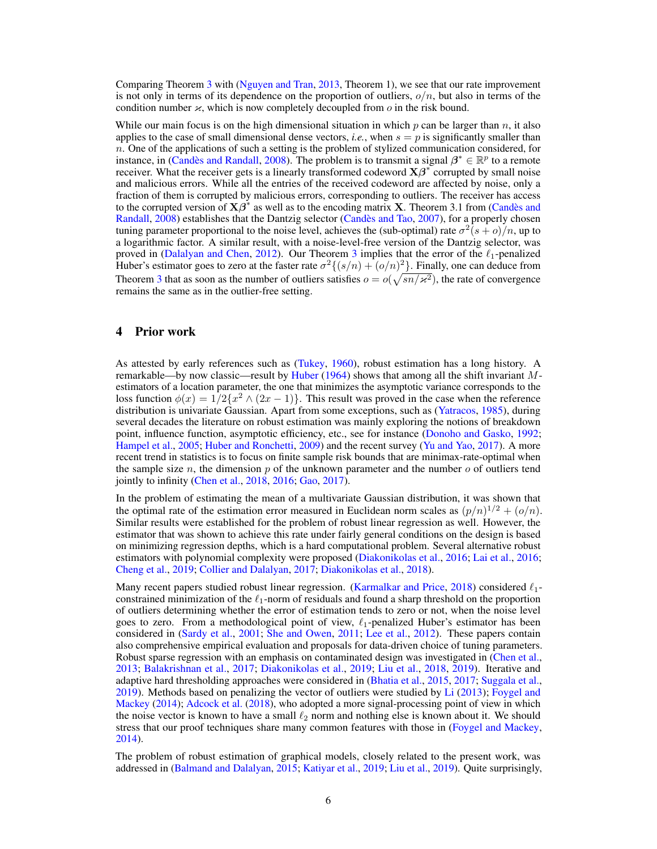Comparing Theorem [3](#page-4-3) with [\(Nguyen and Tran,](#page-10-0) [2013,](#page-10-0) Theorem 1), we see that our rate improvement is not only in terms of its dependence on the proportion of outliers,  $o/n$ , but also in terms of the condition number  $\varkappa$ , which is now completely decoupled from  $\omega$  in the risk bound.

While our main focus is on the high dimensional situation in which p can be larger than n, it also applies to the case of small dimensional dense vectors, *i.e.*, when  $s = p$  is significantly smaller than  $n$ . One of the applications of such a setting is the problem of stylized communication considered, for instance, in [\(Candès and Randall,](#page-8-4) [2008\)](#page-8-4). The problem is to transmit a signal  $\beta^* \in \mathbb{R}^p$  to a remote receiver. What the receiver gets is a linearly transformed codeword  $X\beta^*$  corrupted by small noise and malicious errors. While all the entries of the received codeword are affected by noise, only a fraction of them is corrupted by malicious errors, corresponding to outliers. The receiver has access to the corrupted version of  $X\beta^*$  as well as to the encoding matrix X. Theorem 3.1 from [\(Candès and](#page-8-4) [Randall,](#page-8-4) [2008\)](#page-8-4) establishes that the Dantzig selector [\(Candès and Tao,](#page-8-6) [2007\)](#page-8-6), for a properly chosen tuning parameter proportional to the noise level, achieves the (sub-optimal) rate  $\sigma^2(s+o)/n$ , up to a logarithmic factor. A similar result, with a noise-level-free version of the Dantzig selector, was proved in [\(Dalalyan and Chen,](#page-9-3) [2012\)](#page-9-3). Our Theorem [3](#page-4-3) implies that the error of the  $\ell_1$ -penalized Huber's estimator goes to zero at the faster rate  $\sigma^2 \{ (s/n) + (o/n)^2 \}$ . Finally, one can deduce from Theorem [3](#page-4-3) that as soon as the number of outliers satisfies  $o = o(\sqrt{sn/x^2})$ , the rate of convergence remains the same as in the outlier-free setting.

#### <span id="page-5-0"></span>4 Prior work

As attested by early references such as [\(Tukey,](#page-10-5) [1960\)](#page-10-5), robust estimation has a long history. A remarkable—by now classic—result by [Huber](#page-9-6) [\(1964\)](#page-9-6) shows that among all the shift invariant Mestimators of a location parameter, the one that minimizes the asymptotic variance corresponds to the loss function  $\phi(x) = 1/2\{x^2 \wedge (2x - 1)\}\.$  This result was proved in the case when the reference distribution is univariate Gaussian. Apart from some exceptions, such as [\(Yatracos,](#page-10-6) [1985\)](#page-10-6), during several decades the literature on robust estimation was mainly exploring the notions of breakdown point, influence function, asymptotic efficiency, etc., see for instance [\(Donoho and Gasko,](#page-9-7) [1992;](#page-9-7) [Hampel et al.,](#page-9-8) [2005;](#page-9-8) [Huber and Ronchetti,](#page-9-9) [2009\)](#page-9-9) and the recent survey [\(Yu and Yao,](#page-10-7) [2017\)](#page-10-7). A more recent trend in statistics is to focus on finite sample risk bounds that are minimax-rate-optimal when the sample size n, the dimension p of the unknown parameter and the number o of outliers tend jointly to infinity [\(Chen et al.,](#page-8-1) [2018,](#page-8-1) [2016;](#page-8-2) [Gao,](#page-9-1) [2017\)](#page-9-1).

In the problem of estimating the mean of a multivariate Gaussian distribution, it was shown that the optimal rate of the estimation error measured in Euclidean norm scales as  $(p/n)^{1/2} + (o/n)$ . Similar results were established for the problem of robust linear regression as well. However, the estimator that was shown to achieve this rate under fairly general conditions on the design is based on minimizing regression depths, which is a hard computational problem. Several alternative robust estimators with polynomial complexity were proposed [\(Diakonikolas et al.,](#page-9-10) [2016;](#page-9-10) [Lai et al.,](#page-9-0) [2016;](#page-9-0) [Cheng et al.,](#page-8-7) [2019;](#page-8-7) [Collier and Dalalyan,](#page-9-11) [2017;](#page-9-11) [Diakonikolas et al.,](#page-9-12) [2018\)](#page-9-12).

Many recent papers studied robust linear regression. [\(Karmalkar and Price,](#page-9-13) [2018\)](#page-9-13) considered  $\ell_1$ constrained minimization of the  $\ell_1$ -norm of residuals and found a sharp threshold on the proportion of outliers determining whether the error of estimation tends to zero or not, when the noise level goes to zero. From a methodological point of view,  $\ell_1$ -penalized Huber's estimator has been considered in [\(Sardy et al.,](#page-10-8) [2001;](#page-10-8) [She and Owen,](#page-10-9) [2011;](#page-10-9) [Lee et al.,](#page-10-10) [2012\)](#page-10-10). These papers contain also comprehensive empirical evaluation and proposals for data-driven choice of tuning parameters. Robust sparse regression with an emphasis on contaminated design was investigated in [\(Chen et al.,](#page-8-0) [2013;](#page-8-0) [Balakrishnan et al.,](#page-8-8) [2017;](#page-8-8) [Diakonikolas et al.,](#page-9-14) [2019;](#page-9-14) [Liu et al.,](#page-10-11) [2018,](#page-10-11) [2019\)](#page-10-12). Iterative and adaptive hard thresholding approaches were considered in [\(Bhatia et al.,](#page-8-9) [2015,](#page-8-9) [2017;](#page-8-10) [Suggala et al.,](#page-10-13) [2019\)](#page-10-13). Methods based on penalizing the vector of outliers were studied by [Li](#page-10-14) [\(2013\)](#page-10-14); [Foygel and](#page-9-15) [Mackey](#page-9-15) [\(2014\)](#page-9-15); [Adcock et al.](#page-8-11) [\(2018\)](#page-8-11), who adopted a more signal-processing point of view in which the noise vector is known to have a small  $\ell_2$  norm and nothing else is known about it. We should stress that our proof techniques share many common features with those in [\(Foygel and Mackey,](#page-9-15) [2014\)](#page-9-15).

The problem of robust estimation of graphical models, closely related to the present work, was addressed in [\(Balmand and Dalalyan,](#page-8-12) [2015;](#page-8-12) [Katiyar et al.,](#page-9-16) [2019;](#page-9-16) [Liu et al.,](#page-10-12) [2019\)](#page-10-12). Quite surprisingly,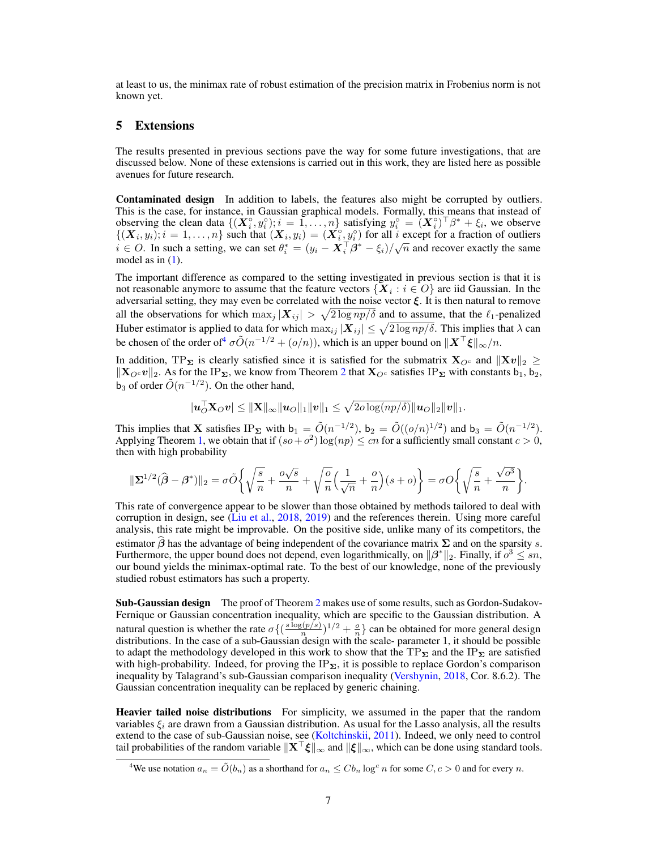at least to us, the minimax rate of robust estimation of the precision matrix in Frobenius norm is not known yet.

#### <span id="page-6-0"></span>5 Extensions

The results presented in previous sections pave the way for some future investigations, that are discussed below. None of these extensions is carried out in this work, they are listed here as possible avenues for future research.

Contaminated design In addition to labels, the features also might be corrupted by outliers. This is the case, for instance, in Gaussian graphical models. Formally, this means that instead of observing the clean data  $\{(\boldsymbol{X}_i^{\circ}, y_i^{\circ}); i = 1, \ldots, n\}$  satisfying  $y_i^{\circ} = (\boldsymbol{X}_i^{\circ})^{\top} \beta^* + \xi_i$ , we observe  $\{(\boldsymbol{X}_i, y_i); i = 1, \ldots, n\}$  such that  $(\boldsymbol{X}_i, y_i) = (\boldsymbol{X}_i^{\circ}, y_i^{\circ})$  for all i except for a fraction of outliers  $i \in \mathcal{O}$ . In such a setting, we can set  $\theta_i^* = (y_i - \overline{X}_i^T \beta^* - \xi_i)/\sqrt{n}$  and recover exactly the same model as in  $(1)$ .

The important difference as compared to the setting investigated in previous section is that it is not reasonable anymore to assume that the feature vectors  $\{ \boldsymbol{X}_i : i \in O \}$  are iid Gaussian. In the adversarial setting, they may even be correlated with the noise vector  $\xi$ . It is then natural to remove all the observations for which  $\max_j |X_{ij}| > \sqrt{2 \log np/\delta}$  and to assume, that the  $\ell_1$ -penalized Huber estimator is applied to data for which  $\max_{ij}|\bm{X}_{ij}|\leq \sqrt{2\log np/\delta}.$  This implies that  $\lambda$  can be chosen of the order of<sup>[4](#page-6-1)</sup>  $\sigma \tilde{O}(n^{-1/2} + (o/n))$ , which is an upper bound on  $||\boldsymbol{X}^\top \boldsymbol{\xi}||_{\infty}/n$ .

In addition, TP<sub>Σ</sub> is clearly satisfied since it is satisfied for the submatrix  $X_{\mathcal{O}^c}$  and  $||Xv||_2 \ge$  $\|\mathbf{X}_{O}e\mathbf{v}\|_2$  $\|\mathbf{X}_{O}e\mathbf{v}\|_2$ . As for the IP<sub>Σ</sub>, we know from Theorem 2 that  $\mathbf{X}_{O}e$  satisfies IP<sub>Σ</sub> with constants b<sub>1</sub>, b<sub>2</sub>,  $\mathbf{b}_3$  of order  $\tilde{O}(n^{-1/2})$ . On the other hand,

$$
|\boldsymbol{u}_O^{\top} \mathbf{X}_O \boldsymbol{v}| \leq \|\mathbf{X}\|_{\infty} \|\boldsymbol{u}_O\|_1 \|\boldsymbol{v}\|_1 \leq \sqrt{2o\log(np/\delta)} \|\boldsymbol{u}_O\|_2 \|\boldsymbol{v}\|_1.
$$

This implies that **X** satisfies IP<sub>**Σ**</sub> with  $b_1 = \tilde{O}(n^{-1/2})$ ,  $b_2 = \tilde{O}((o/n)^{1/2})$  and  $b_3 = \tilde{O}(n^{-1/2})$ . Applying Theorem [1,](#page-2-2) we obtain that if  $(so + o^2) \log(np) \leq cn$  for a sufficiently small constant  $c > 0$ , then with high probability

$$
\|\Sigma^{1/2}(\widehat{\boldsymbol{\beta}}-\boldsymbol{\beta}^*)\|_2 = \sigma \widetilde{O}\bigg\{\sqrt{\frac{s}{n}} + \frac{o\sqrt{s}}{n} + \sqrt{\frac{o}{n}}\Big(\frac{1}{\sqrt{n}} + \frac{o}{n}\Big)(s+o)\bigg\} = \sigma O\bigg\{\sqrt{\frac{s}{n}} + \frac{\sqrt{o^3}}{n}\bigg\}.
$$

This rate of convergence appear to be slower than those obtained by methods tailored to deal with corruption in design, see [\(Liu et al.,](#page-10-11) [2018,](#page-10-11) [2019\)](#page-10-12) and the references therein. Using more careful analysis, this rate might be improvable. On the positive side, unlike many of its competitors, the estimator  $\beta$  has the advantage of being independent of the covariance matrix  $\Sigma$  and on the sparsity s. Furthermore, the upper bound does not depend, even logarithmically, on  $\|\beta^*\|_2$ . Finally, if  $o^3 \leq sn$ , our bound yields the minimax-optimal rate. To the best of our knowledge, none of the previously studied robust estimators has such a property.

Sub-Gaussian design The proof of Theorem [2](#page-4-1) makes use of some results, such as Gordon-Sudakov-Fernique or Gaussian concentration inequality, which are specific to the Gaussian distribution. A natural question is whether the rate  $\sigma\left\{\left(\frac{s\log(p/s)}{n}\right)\right\}$  $\frac{n(n/2)}{n}$ <sup>1/2</sup> +  $\frac{a}{n}$  can be obtained for more general design distributions. In the case of a sub-Gaussian design with the scale- parameter 1, it should be possible to adapt the methodology developed in this work to show that the  $TP_{\Sigma}$  and the IP<sub> $\Sigma$ </sub> are satisfied with high-probability. Indeed, for proving the  $IP_{\Sigma}$ , it is possible to replace Gordon's comparison inequality by Talagrand's sub-Gaussian comparison inequality [\(Vershynin,](#page-10-4) [2018,](#page-10-4) Cor. 8.6.2). The Gaussian concentration inequality can be replaced by generic chaining.

Heavier tailed noise distributions For simplicity, we assumed in the paper that the random variables  $\xi_i$  are drawn from a Gaussian distribution. As usual for the Lasso analysis, all the results extend to the case of sub-Gaussian noise, see [\(Koltchinskii,](#page-9-17) [2011\)](#page-9-17). Indeed, we only need to control tail probabilities of the random variable  $\|\mathbf{X}^\top \boldsymbol{\xi}\|_{\infty}$  and  $\|\boldsymbol{\xi}\|_{\infty}$ , which can be done using standard tools.

<span id="page-6-1"></span><sup>&</sup>lt;sup>4</sup>We use notation  $a_n = \tilde{O}(b_n)$  as a shorthand for  $a_n \leq C b_n \log^c n$  for some  $C, c > 0$  and for every n.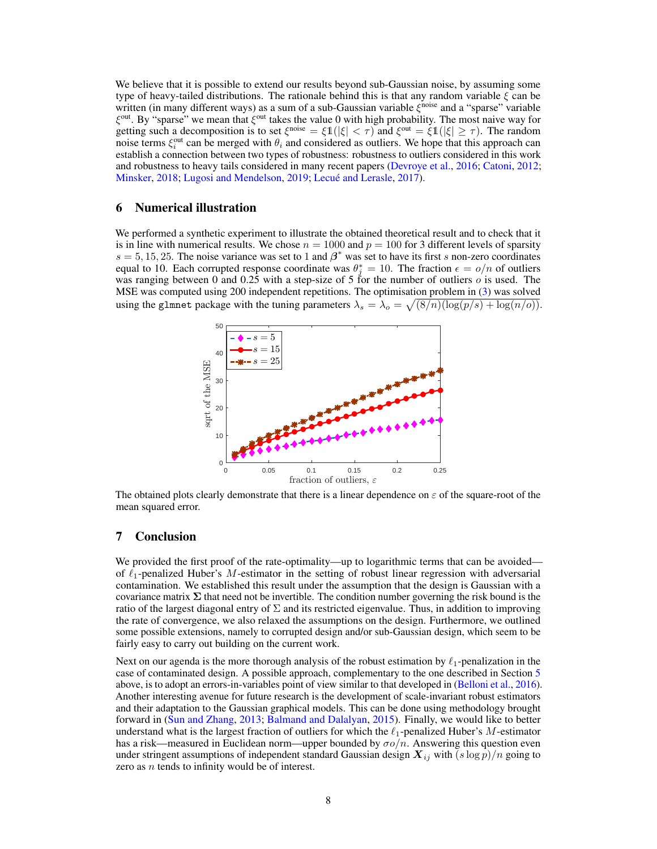We believe that it is possible to extend our results beyond sub-Gaussian noise, by assuming some type of heavy-tailed distributions. The rationale behind this is that any random variable  $\xi$  can be written (in many different ways) as a sum of a sub-Gaussian variable  $ξ$ <sup>noise</sup> and a "sparse" variable  $\xi^{\text{out}}$ . By "sparse" we mean that  $\xi^{\text{out}}$  takes the value 0 with high probability. The most naive way for getting such a decomposition is to set  $\xi^{\text{noise}} = \xi \mathbb{1}(|\xi| < \tau)$  and  $\xi^{\text{out}} = \xi \mathbb{1}(|\xi| \ge \tau)$ . The random noise terms  $\xi_i^{\text{out}}$  can be merged with  $\theta_i$  and considered as outliers. We hope that this approach can establish a connection between two types of robustness: robustness to outliers considered in this work and robustness to heavy tails considered in many recent papers [\(Devroye et al.,](#page-9-18) [2016;](#page-9-18) [Catoni,](#page-8-13) [2012;](#page-8-13) [Minsker,](#page-10-15) [2018;](#page-10-15) [Lugosi and Mendelson,](#page-10-16) [2019;](#page-10-16) [Lecué and Lerasle,](#page-10-17) [2017\)](#page-10-17).

## 6 Numerical illustration

We performed a synthetic experiment to illustrate the obtained theoretical result and to check that it is in line with numerical results. We chose  $n = 1000$  and  $p = 100$  for 3 different levels of sparsity  $s = 5, 15, 25$ . The noise variance was set to 1 and  $\beta^*$  was set to have its first s non-zero coordinates equal to 10. Each corrupted response coordinate was  $\theta_j^* = 10$ . The fraction  $\epsilon = o/n$  of outliers was ranging between 0 and 0.25 with a step-size of 5 for the number of outliers  $o$  is used. The MSE was computed using 200 independent repetitions. The optimisation problem in [\(3\)](#page-1-5) was solved using the glmnet package with the tuning parameters  $\lambda_s = \lambda_o = \sqrt{(8/n)(\log(p/s) + \log(n/o))}$ .



The obtained plots clearly demonstrate that there is a linear dependence on  $\varepsilon$  of the square-root of the mean squared error.

## <span id="page-7-0"></span>7 Conclusion

We provided the first proof of the rate-optimality—up to logarithmic terms that can be avoided of  $\ell_1$ -penalized Huber's M-estimator in the setting of robust linear regression with adversarial contamination. We established this result under the assumption that the design is Gaussian with a covariance matrix  $\Sigma$  that need not be invertible. The condition number governing the risk bound is the ratio of the largest diagonal entry of  $\Sigma$  and its restricted eigenvalue. Thus, in addition to improving the rate of convergence, we also relaxed the assumptions on the design. Furthermore, we outlined some possible extensions, namely to corrupted design and/or sub-Gaussian design, which seem to be fairly easy to carry out building on the current work.

Next on our agenda is the more thorough analysis of the robust estimation by  $\ell_1$ -penalization in the case of contaminated design. A possible approach, complementary to the one described in Section [5](#page-6-0) above, is to adopt an errors-in-variables point of view similar to that developed in [\(Belloni et al.,](#page-8-14) [2016\)](#page-8-14). Another interesting avenue for future research is the development of scale-invariant robust estimators and their adaptation to the Gaussian graphical models. This can be done using methodology brought forward in [\(Sun and Zhang,](#page-10-18) [2013;](#page-10-18) [Balmand and Dalalyan,](#page-8-12) [2015\)](#page-8-12). Finally, we would like to better understand what is the largest fraction of outliers for which the  $\ell_1$ -penalized Huber's M-estimator has a risk—measured in Euclidean norm—upper bounded by  $\sigma o/n$ . Answering this question even under stringent assumptions of independent standard Gaussian design  $X_{ij}$  with  $(s \log p)/n$  going to zero as  $n$  tends to infinity would be of interest.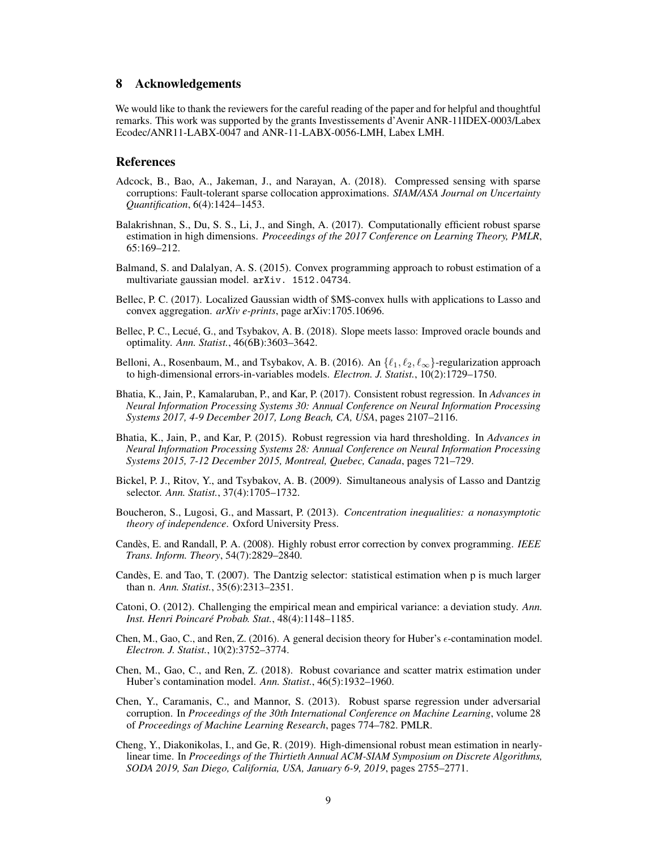#### 8 Acknowledgements

We would like to thank the reviewers for the careful reading of the paper and for helpful and thoughtful remarks. This work was supported by the grants Investissements d'Avenir ANR-11IDEX-0003/Labex Ecodec/ANR11-LABX-0047 and ANR-11-LABX-0056-LMH, Labex LMH.

#### References

- <span id="page-8-11"></span>Adcock, B., Bao, A., Jakeman, J., and Narayan, A. (2018). Compressed sensing with sparse corruptions: Fault-tolerant sparse collocation approximations. *SIAM/ASA Journal on Uncertainty Quantification*, 6(4):1424–1453.
- <span id="page-8-8"></span>Balakrishnan, S., Du, S. S., Li, J., and Singh, A. (2017). Computationally efficient robust sparse estimation in high dimensions. *Proceedings of the 2017 Conference on Learning Theory, PMLR*, 65:169–212.
- <span id="page-8-12"></span>Balmand, S. and Dalalyan, A. S. (2015). Convex programming approach to robust estimation of a multivariate gaussian model. arXiv. 1512.04734.
- Bellec, P. C. (2017). Localized Gaussian width of \$M\$-convex hulls with applications to Lasso and convex aggregation. *arXiv e-prints*, page arXiv:1705.10696.
- <span id="page-8-5"></span>Bellec, P. C., Lecué, G., and Tsybakov, A. B. (2018). Slope meets lasso: Improved oracle bounds and optimality. *Ann. Statist.*, 46(6B):3603–3642.
- <span id="page-8-14"></span>Belloni, A., Rosenbaum, M., and Tsybakov, A. B. (2016). An  $\{\ell_1, \ell_2, \ell_\infty\}$ -regularization approach to high-dimensional errors-in-variables models. *Electron. J. Statist.*, 10(2):1729–1750.
- <span id="page-8-10"></span>Bhatia, K., Jain, P., Kamalaruban, P., and Kar, P. (2017). Consistent robust regression. In *Advances in Neural Information Processing Systems 30: Annual Conference on Neural Information Processing Systems 2017, 4-9 December 2017, Long Beach, CA, USA*, pages 2107–2116.
- <span id="page-8-9"></span>Bhatia, K., Jain, P., and Kar, P. (2015). Robust regression via hard thresholding. In *Advances in Neural Information Processing Systems 28: Annual Conference on Neural Information Processing Systems 2015, 7-12 December 2015, Montreal, Quebec, Canada*, pages 721–729.
- <span id="page-8-3"></span>Bickel, P. J., Ritov, Y., and Tsybakov, A. B. (2009). Simultaneous analysis of Lasso and Dantzig selector. *Ann. Statist.*, 37(4):1705–1732.
- Boucheron, S., Lugosi, G., and Massart, P. (2013). *Concentration inequalities: a nonasymptotic theory of independence*. Oxford University Press.
- <span id="page-8-4"></span>Candès, E. and Randall, P. A. (2008). Highly robust error correction by convex programming. *IEEE Trans. Inform. Theory*, 54(7):2829–2840.
- <span id="page-8-6"></span>Candès, E. and Tao, T. (2007). The Dantzig selector: statistical estimation when p is much larger than n. *Ann. Statist.*, 35(6):2313–2351.
- <span id="page-8-13"></span>Catoni, O. (2012). Challenging the empirical mean and empirical variance: a deviation study. *Ann. Inst. Henri Poincaré Probab. Stat.*, 48(4):1148–1185.
- <span id="page-8-2"></span>Chen, M., Gao, C., and Ren, Z. (2016). A general decision theory for Huber's  $\epsilon$ -contamination model. *Electron. J. Statist.*, 10(2):3752–3774.
- <span id="page-8-1"></span>Chen, M., Gao, C., and Ren, Z. (2018). Robust covariance and scatter matrix estimation under Huber's contamination model. *Ann. Statist.*, 46(5):1932–1960.
- <span id="page-8-0"></span>Chen, Y., Caramanis, C., and Mannor, S. (2013). Robust sparse regression under adversarial corruption. In *Proceedings of the 30th International Conference on Machine Learning*, volume 28 of *Proceedings of Machine Learning Research*, pages 774–782. PMLR.
- <span id="page-8-7"></span>Cheng, Y., Diakonikolas, I., and Ge, R. (2019). High-dimensional robust mean estimation in nearlylinear time. In *Proceedings of the Thirtieth Annual ACM-SIAM Symposium on Discrete Algorithms, SODA 2019, San Diego, California, USA, January 6-9, 2019*, pages 2755–2771.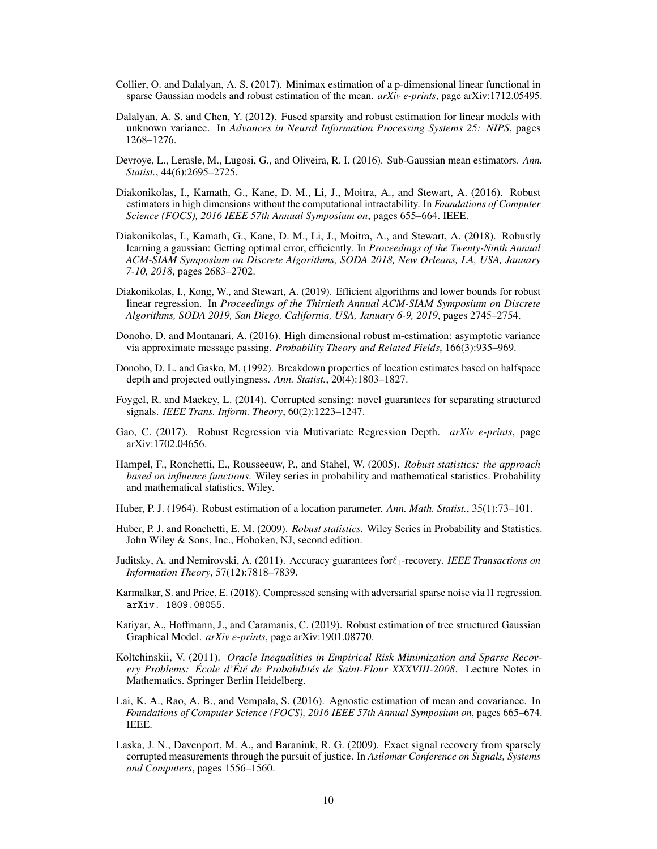- <span id="page-9-11"></span>Collier, O. and Dalalyan, A. S. (2017). Minimax estimation of a p-dimensional linear functional in sparse Gaussian models and robust estimation of the mean. *arXiv e-prints*, page arXiv:1712.05495.
- <span id="page-9-3"></span>Dalalyan, A. S. and Chen, Y. (2012). Fused sparsity and robust estimation for linear models with unknown variance. In *Advances in Neural Information Processing Systems 25: NIPS*, pages 1268–1276.
- <span id="page-9-18"></span>Devroye, L., Lerasle, M., Lugosi, G., and Oliveira, R. I. (2016). Sub-Gaussian mean estimators. *Ann. Statist.*, 44(6):2695–2725.
- <span id="page-9-10"></span>Diakonikolas, I., Kamath, G., Kane, D. M., Li, J., Moitra, A., and Stewart, A. (2016). Robust estimators in high dimensions without the computational intractability. In *Foundations of Computer Science (FOCS), 2016 IEEE 57th Annual Symposium on*, pages 655–664. IEEE.
- <span id="page-9-12"></span>Diakonikolas, I., Kamath, G., Kane, D. M., Li, J., Moitra, A., and Stewart, A. (2018). Robustly learning a gaussian: Getting optimal error, efficiently. In *Proceedings of the Twenty-Ninth Annual ACM-SIAM Symposium on Discrete Algorithms, SODA 2018, New Orleans, LA, USA, January 7-10, 2018*, pages 2683–2702.
- <span id="page-9-14"></span>Diakonikolas, I., Kong, W., and Stewart, A. (2019). Efficient algorithms and lower bounds for robust linear regression. In *Proceedings of the Thirtieth Annual ACM-SIAM Symposium on Discrete Algorithms, SODA 2019, San Diego, California, USA, January 6-9, 2019*, pages 2745–2754.
- <span id="page-9-4"></span>Donoho, D. and Montanari, A. (2016). High dimensional robust m-estimation: asymptotic variance via approximate message passing. *Probability Theory and Related Fields*, 166(3):935–969.
- <span id="page-9-7"></span>Donoho, D. L. and Gasko, M. (1992). Breakdown properties of location estimates based on halfspace depth and projected outlyingness. *Ann. Statist.*, 20(4):1803–1827.
- <span id="page-9-15"></span>Foygel, R. and Mackey, L. (2014). Corrupted sensing: novel guarantees for separating structured signals. *IEEE Trans. Inform. Theory*, 60(2):1223–1247.
- <span id="page-9-1"></span>Gao, C. (2017). Robust Regression via Mutivariate Regression Depth. *arXiv e-prints*, page arXiv:1702.04656.
- <span id="page-9-8"></span>Hampel, F., Ronchetti, E., Rousseeuw, P., and Stahel, W. (2005). *Robust statistics: the approach based on influence functions*. Wiley series in probability and mathematical statistics. Probability and mathematical statistics. Wiley.
- <span id="page-9-6"></span>Huber, P. J. (1964). Robust estimation of a location parameter. *Ann. Math. Statist.*, 35(1):73–101.
- <span id="page-9-9"></span>Huber, P. J. and Ronchetti, E. M. (2009). *Robust statistics*. Wiley Series in Probability and Statistics. John Wiley & Sons, Inc., Hoboken, NJ, second edition.
- <span id="page-9-5"></span>Juditsky, A. and Nemirovski, A. (2011). Accuracy guarantees for  $\ell_1$ -recovery. *IEEE Transactions on Information Theory*, 57(12):7818–7839.
- <span id="page-9-13"></span>Karmalkar, S. and Price, E. (2018). Compressed sensing with adversarial sparse noise via l1 regression. arXiv. 1809.08055.
- <span id="page-9-16"></span>Katiyar, A., Hoffmann, J., and Caramanis, C. (2019). Robust estimation of tree structured Gaussian Graphical Model. *arXiv e-prints*, page arXiv:1901.08770.
- <span id="page-9-17"></span>Koltchinskii, V. (2011). *Oracle Inequalities in Empirical Risk Minimization and Sparse Recovery Problems: École d'Été de Probabilités de Saint-Flour XXXVIII-2008*. Lecture Notes in Mathematics. Springer Berlin Heidelberg.
- <span id="page-9-0"></span>Lai, K. A., Rao, A. B., and Vempala, S. (2016). Agnostic estimation of mean and covariance. In *Foundations of Computer Science (FOCS), 2016 IEEE 57th Annual Symposium on*, pages 665–674. IEEE.
- <span id="page-9-2"></span>Laska, J. N., Davenport, M. A., and Baraniuk, R. G. (2009). Exact signal recovery from sparsely corrupted measurements through the pursuit of justice. In *Asilomar Conference on Signals, Systems and Computers*, pages 1556–1560.